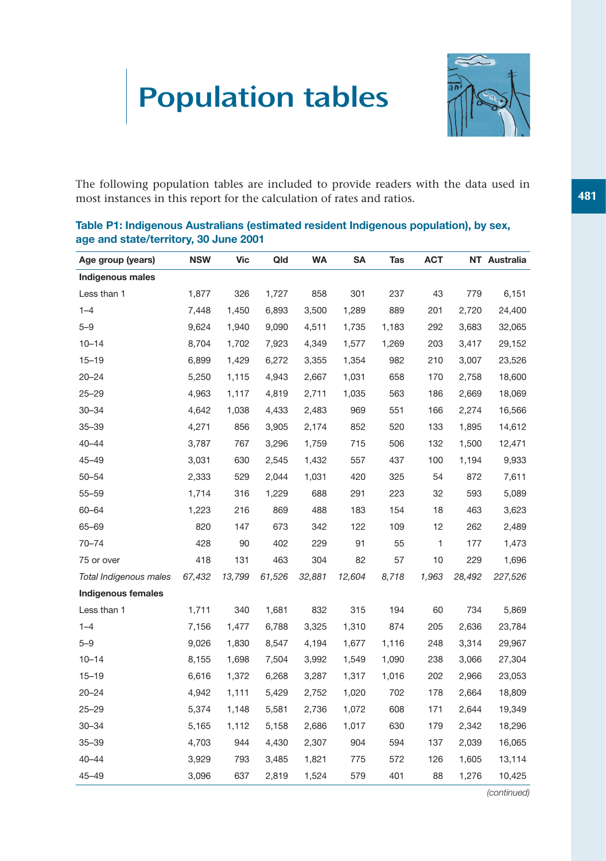# Population tables



The following population tables are included to provide readers with the data used in most instances in this report for the calculation of rates and ratios.

# **Age group (years) NSW Vic Qld WA SA Tas ACT NT Australia Indigenous males** Less than 1 1,877 326 1,727 858 301 237 43 779 6,151 1–4 7,448 1,450 6,893 3,500 1,289 889 201 2,720 24,400 5–9 9,624 1,940 9,090 4,511 1,735 1,183 292 3,683 32,065 10–14 8,704 1,702 7,923 4,349 1,577 1,269 203 3,417 29,152 15–19 6,899 1,429 6,272 3,355 1,354 982 210 3,007 23,526 20–24 5,250 1,115 4,943 2,667 1,031 658 170 2,758 18,600 25–29 4,963 1,117 4,819 2,711 1,035 563 186 2,669 18,069 30–34 4,642 1,038 4,433 2,483 969 551 166 2,274 16,566 35–39 4,271 856 3,905 2,174 852 520 133 1,895 14,612 40–44 3,787 767 3,296 1,759 715 506 132 1,500 12,471 45–49 3,031 630 2,545 1,432 557 437 100 1,194 9,933 50–54 2,333 529 2,044 1,031 420 325 54 872 7,611 55–59 1,714 316 1,229 688 291 223 32 593 5,089 60–64 1,223 216 869 488 183 154 18 463 3,623 65–69 820 147 673 342 122 109 12 262 2,489 70–74 428 90 402 229 91 55 1 177 1,473 75 or over 418 131 463 304 82 57 10 229 1,696 *Total Indigenous males 67,432 13,799 61,526 32,881 12,604 8,718 1,963 28,492 227,526* **Indigenous females** Less than 1 1,711 340 1,681 832 315 194 60 734 5,869 1–4 7,156 1,477 6,788 3,325 1,310 874 205 2,636 23,784 5–9 9,026 1,830 8,547 4,194 1,677 1,116 248 3,314 29,967 10–14 8,155 1,698 7,504 3,992 1,549 1,090 238 3,066 27,304 15–19 6,616 1,372 6,268 3,287 1,317 1,016 202 2,966 23,053 20–24 4,942 1,111 5,429 2,752 1,020 702 178 2,664 18,809 25–29 5,374 1,148 5,581 2,736 1,072 608 171 2,644 19,349 30–34 5,165 1,112 5,158 2,686 1,017 630 179 2,342 18,296 35–39 4,703 944 4,430 2,307 904 594 137 2,039 16,065 40–44 3,929 793 3,485 1,821 775 572 126 1,605 13,114 45–49 3,096 637 2,819 1,524 579 401 88 1,276 10,425

# **Table P1: Indigenous Australians (estimated resident Indigenous population), by sex, age and state/territory, 30 June 2001**

*(continued)*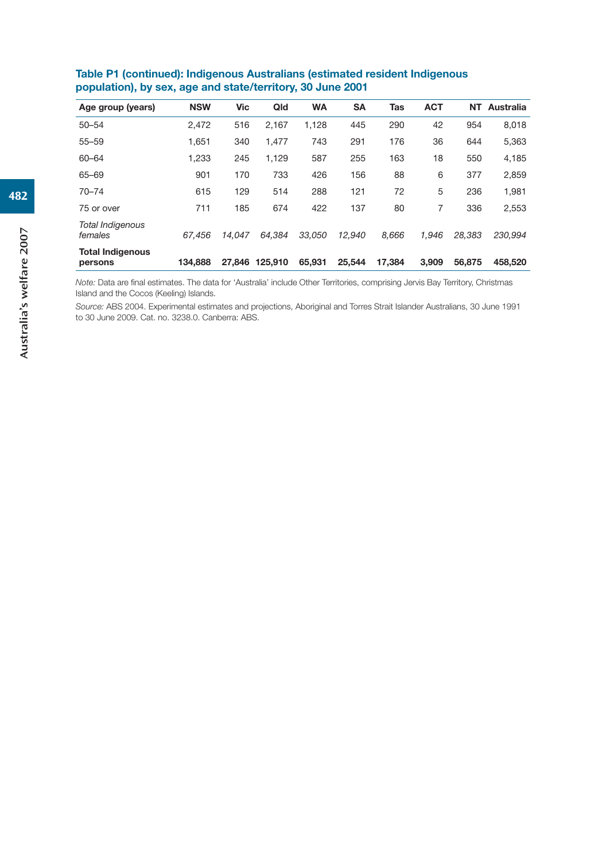| Age group (years)                  | <b>NSW</b> | Vic    | Qld     | <b>WA</b> | <b>SA</b> | Tas    | <b>ACT</b> | NΤ     | <b>Australia</b> |
|------------------------------------|------------|--------|---------|-----------|-----------|--------|------------|--------|------------------|
| $50 - 54$                          | 2,472      | 516    | 2,167   | 1,128     | 445       | 290    | 42         | 954    | 8,018            |
| $55 - 59$                          | 1.651      | 340    | 1.477   | 743       | 291       | 176    | 36         | 644    | 5,363            |
| $60 - 64$                          | 1.233      | 245    | 1,129   | 587       | 255       | 163    | 18         | 550    | 4,185            |
| 65-69                              | 901        | 170    | 733     | 426       | 156       | 88     | 6          | 377    | 2,859            |
| $70 - 74$                          | 615        | 129    | 514     | 288       | 121       | 72     | 5          | 236    | 1,981            |
| 75 or over                         | 711        | 185    | 674     | 422       | 137       | 80     | 7          | 336    | 2,553            |
| <b>Total Indigenous</b><br>females | 67.456     | 14.047 | 64.384  | 33.050    | 12.940    | 8.666  | 1.946      | 28.383 | 230.994          |
| <b>Total Indigenous</b><br>persons | 134.888    | 27,846 | 125.910 | 65.931    | 25.544    | 17.384 | 3.909      | 56,875 | 458,520          |

**Table P1 (continued): Indigenous Australians (estimated resident Indigenous population), by sex, age and state/territory, 30 June 2001**

*Note:* Data are final estimates. The data for 'Australia' include Other Territories, comprising Jervis Bay Territory, Christmas Island and the Cocos (Keeling) Islands.

*Source:* ABS 2004. Experimental estimates and projections, Aboriginal and Torres Strait Islander Australians, 30 June 1991 to 30 June 2009. Cat. no. 3238.0. Canberra: ABS.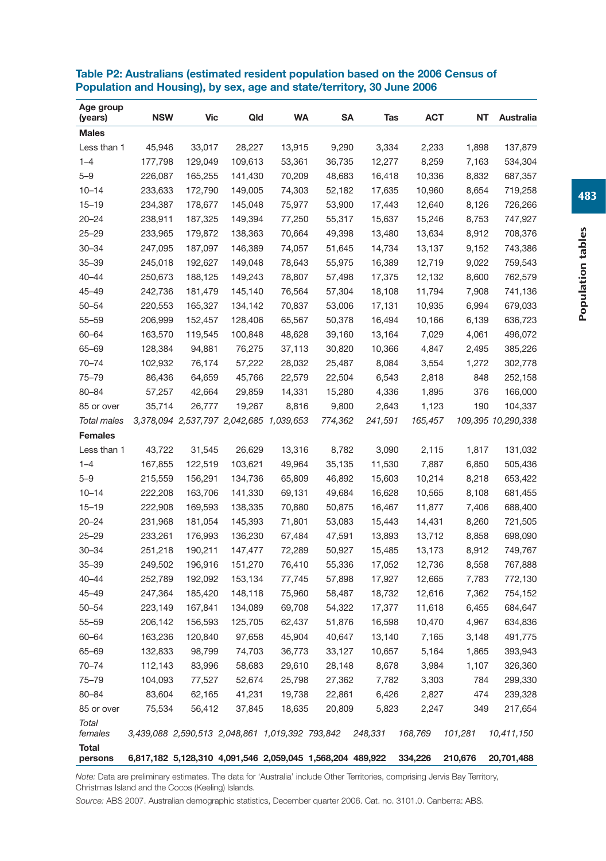| Age group<br>(years) | <b>NSW</b>                                                | <b>Vic</b> | Qld                                     | <b>WA</b> | SΑ      | Tas     | <b>ACT</b> | NT      | Australia          |
|----------------------|-----------------------------------------------------------|------------|-----------------------------------------|-----------|---------|---------|------------|---------|--------------------|
| <b>Males</b>         |                                                           |            |                                         |           |         |         |            |         |                    |
| Less than 1          | 45,946                                                    | 33,017     | 28,227                                  | 13,915    | 9,290   | 3,334   | 2,233      | 1,898   | 137,879            |
| $1 - 4$              | 177,798                                                   | 129,049    | 109,613                                 | 53,361    | 36,735  | 12,277  | 8,259      | 7,163   | 534,304            |
| $5 - 9$              | 226,087                                                   | 165,255    | 141,430                                 | 70,209    | 48,683  | 16,418  | 10,336     | 8,832   | 687,357            |
| $10 - 14$            | 233,633                                                   | 172,790    | 149,005                                 | 74,303    | 52,182  | 17,635  | 10,960     | 8,654   | 719,258            |
| $15 - 19$            | 234,387                                                   | 178,677    | 145,048                                 | 75,977    | 53,900  | 17,443  | 12,640     | 8,126   | 726,266            |
| $20 - 24$            | 238,911                                                   | 187,325    | 149,394                                 | 77,250    | 55,317  | 15,637  | 15,246     | 8,753   | 747,927            |
| $25 - 29$            | 233,965                                                   | 179,872    | 138,363                                 | 70,664    | 49,398  | 13,480  | 13,634     | 8,912   | 708,376            |
| $30 - 34$            | 247,095                                                   | 187,097    | 146,389                                 | 74,057    | 51,645  | 14,734  | 13,137     | 9,152   | 743,386            |
| $35 - 39$            | 245,018                                                   | 192,627    | 149,048                                 | 78,643    | 55,975  | 16,389  | 12,719     | 9,022   | 759,543            |
| 40-44                | 250,673                                                   | 188,125    | 149,243                                 | 78,807    | 57,498  | 17,375  | 12,132     | 8,600   | 762,579            |
| 45–49                | 242,736                                                   | 181,479    | 145,140                                 | 76,564    | 57,304  | 18,108  | 11,794     | 7,908   | 741,136            |
| 50-54                | 220,553                                                   | 165,327    | 134,142                                 | 70,837    | 53,006  | 17,131  | 10,935     | 6,994   | 679,033            |
| 55-59                | 206,999                                                   | 152,457    | 128,406                                 | 65,567    | 50,378  | 16,494  | 10,166     | 6,139   | 636,723            |
| 60-64                | 163,570                                                   | 119,545    | 100,848                                 | 48,628    | 39,160  | 13,164  | 7,029      | 4,061   | 496,072            |
| 65-69                | 128,384                                                   | 94,881     | 76,275                                  | 37,113    | 30,820  | 10,366  | 4,847      | 2,495   | 385,226            |
| 70-74                | 102,932                                                   | 76,174     | 57,222                                  | 28,032    | 25,487  | 8,084   | 3,554      | 1,272   | 302,778            |
| 75–79                | 86,436                                                    | 64,659     | 45,766                                  | 22,579    | 22,504  | 6,543   | 2,818      | 848     | 252,158            |
| $80 - 84$            | 57,257                                                    | 42,664     | 29,859                                  | 14,331    | 15,280  | 4,336   | 1,895      | 376     | 166,000            |
| 85 or over           | 35,714                                                    | 26,777     | 19,267                                  | 8,816     | 9,800   | 2,643   | 1,123      | 190     | 104,337            |
| <b>Total males</b>   |                                                           |            | 3,378,094 2,537,797 2,042,685 1,039,653 |           | 774,362 | 241,591 | 165,457    |         | 109,395 10,290,338 |
| <b>Females</b>       |                                                           |            |                                         |           |         |         |            |         |                    |
| Less than 1          | 43,722                                                    | 31,545     | 26,629                                  | 13,316    | 8,782   | 3,090   | 2,115      | 1,817   | 131,032            |
| $1 - 4$              | 167,855                                                   | 122,519    | 103,621                                 | 49,964    | 35,135  | 11,530  | 7,887      | 6,850   | 505,436            |
| $5 - 9$              | 215,559                                                   | 156,291    | 134,736                                 | 65,809    | 46,892  | 15,603  | 10,214     | 8,218   | 653,422            |
| $10 - 14$            | 222,208                                                   | 163,706    | 141,330                                 | 69,131    | 49,684  | 16,628  | 10,565     | 8,108   | 681,455            |
| $15 - 19$            | 222,908                                                   | 169,593    | 138,335                                 | 70,880    | 50,875  | 16,467  | 11,877     | 7,406   | 688,400            |
| $20 - 24$            | 231,968                                                   | 181,054    | 145,393                                 | 71,801    | 53,083  | 15,443  | 14,431     | 8,260   | 721,505            |
| $25 - 29$            | 233,261                                                   | 176,993    | 136,230                                 | 67,484    | 47,591  | 13,893  | 13,712     | 8,858   | 698,090            |
| $30 - 34$            | 251,218                                                   | 190,211    | 147,477                                 | 72,289    | 50,927  | 15,485  | 13,173     | 8,912   | 749,767            |
| $35 - 39$            | 249,502                                                   | 196,916    | 151,270                                 | 76,410    | 55,336  | 17,052  | 12,736     | 8,558   | 767,888            |
| 40-44                | 252,789                                                   | 192,092    | 153,134                                 | 77,745    | 57,898  | 17,927  | 12,665     | 7,783   | 772,130            |
| 45-49                | 247,364                                                   | 185,420    | 148,118                                 | 75,960    | 58,487  | 18,732  | 12,616     | 7,362   | 754,152            |
| 50-54                | 223,149                                                   | 167,841    | 134,089                                 | 69,708    | 54,322  | 17,377  | 11,618     | 6,455   | 684,647            |
| 55-59                | 206,142                                                   | 156,593    | 125,705                                 | 62,437    | 51,876  | 16,598  | 10,470     | 4,967   | 634,836            |
| 60-64                | 163,236                                                   | 120,840    | 97,658                                  | 45,904    | 40,647  | 13,140  | 7,165      | 3,148   | 491,775            |
| 65–69                | 132,833                                                   | 98,799     | 74,703                                  | 36,773    | 33,127  | 10,657  | 5,164      | 1,865   | 393,943            |
| 70-74                | 112,143                                                   | 83,996     | 58,683                                  | 29,610    | 28,148  | 8,678   | 3,984      | 1,107   | 326,360            |
| $75 - 79$            | 104,093                                                   | 77,527     | 52,674                                  | 25,798    | 27,362  | 7,782   | 3,303      | 784     | 299,330            |
| 80-84                | 83,604                                                    | 62,165     | 41,231                                  | 19,738    | 22,861  | 6,426   | 2,827      | 474     | 239,328            |
| 85 or over           | 75,534                                                    | 56,412     | 37,845                                  | 18,635    | 20,809  | 5,823   | 2,247      | 349     | 217,654            |
| Total<br>females     | 3,439,088 2,590,513 2,048,861 1,019,392 793,842           |            |                                         |           |         | 248,331 | 168,769    | 101,281 | 10,411,150         |
| Total<br>persons     | 6,817,182 5,128,310 4,091,546 2,059,045 1,568,204 489,922 |            |                                         |           |         |         | 334,226    | 210,676 | 20,701,488         |

#### **Table P2: Australians (estimated resident population based on the 2006 Census of Population and Housing), by sex, age and state/territory, 30 June 2006**

*Note:* Data are preliminary estimates. The data for 'Australia' include Other Territories, comprising Jervis Bay Territory, Christmas Island and the Cocos (Keeling) Islands.

*Source:* ABS 2007. Australian demographic statistics, December quarter 2006. Cat. no. 3101.0. Canberra: ABS.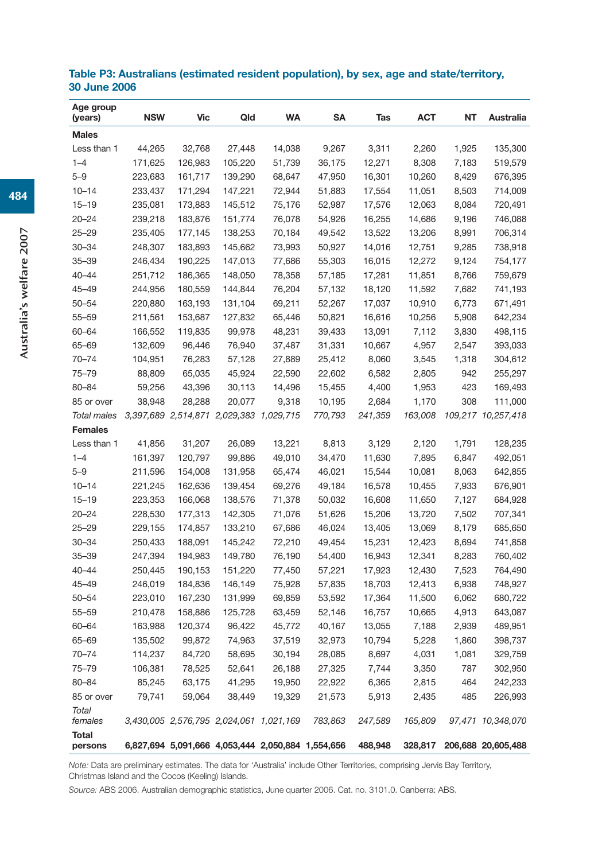| Age group<br>(years) | <b>NSW</b> | <b>Vic</b> | Qld                                               | <b>WA</b> | <b>SA</b> | Tas     | <b>ACT</b> | <b>NT</b> | Australia                  |
|----------------------|------------|------------|---------------------------------------------------|-----------|-----------|---------|------------|-----------|----------------------------|
| <b>Males</b>         |            |            |                                                   |           |           |         |            |           |                            |
| Less than 1          | 44,265     | 32,768     | 27,448                                            | 14,038    | 9,267     | 3,311   | 2,260      | 1,925     | 135,300                    |
| $1 - 4$              | 171,625    | 126,983    | 105,220                                           | 51,739    | 36,175    | 12,271  | 8,308      | 7,183     | 519,579                    |
| $5 - 9$              | 223,683    | 161,717    | 139,290                                           | 68,647    | 47,950    | 16,301  | 10,260     | 8,429     | 676,395                    |
| $10 - 14$            | 233,437    | 171,294    | 147,221                                           | 72,944    | 51,883    | 17,554  | 11,051     | 8,503     | 714,009                    |
| $15 - 19$            | 235,081    | 173,883    | 145,512                                           | 75,176    | 52,987    | 17,576  | 12,063     | 8,084     | 720,491                    |
| $20 - 24$            | 239,218    | 183,876    | 151,774                                           | 76,078    | 54,926    | 16,255  | 14,686     | 9,196     | 746,088                    |
| $25 - 29$            | 235,405    | 177,145    | 138,253                                           | 70,184    | 49,542    | 13,522  | 13,206     | 8,991     | 706,314                    |
| $30 - 34$            | 248,307    | 183,893    | 145,662                                           | 73,993    | 50,927    | 14,016  | 12,751     | 9,285     | 738,918                    |
| $35 - 39$            | 246,434    | 190,225    | 147,013                                           | 77,686    | 55,303    | 16,015  | 12,272     | 9,124     | 754,177                    |
| $40 - 44$            | 251,712    | 186,365    | 148,050                                           | 78,358    | 57,185    | 17,281  | 11,851     | 8,766     | 759,679                    |
| 45–49                | 244,956    | 180,559    | 144,844                                           | 76,204    | 57,132    | 18,120  | 11,592     | 7,682     | 741,193                    |
| 50-54                | 220,880    | 163,193    | 131,104                                           | 69,211    | 52,267    | 17,037  | 10,910     | 6,773     | 671,491                    |
| 55-59                | 211,561    | 153,687    | 127,832                                           | 65,446    | 50,821    | 16,616  | 10,256     | 5,908     | 642,234                    |
| 60-64                | 166,552    | 119,835    | 99,978                                            | 48,231    | 39,433    | 13,091  | 7,112      | 3,830     | 498,115                    |
| 65-69                | 132,609    | 96,446     | 76,940                                            | 37,487    | 31,331    | 10,667  | 4,957      | 2,547     | 393,033                    |
| 70-74                | 104,951    | 76,283     | 57,128                                            | 27,889    | 25,412    | 8,060   | 3,545      | 1,318     | 304,612                    |
| 75-79                | 88,809     | 65,035     | 45,924                                            | 22,590    | 22,602    | 6,582   | 2,805      | 942       | 255,297                    |
| 80-84                | 59,256     | 43,396     | 30,113                                            | 14,496    | 15,455    | 4,400   | 1,953      | 423       | 169,493                    |
| 85 or over           | 38,948     | 28,288     | 20,077                                            | 9,318     | 10,195    | 2,684   | 1,170      | 308       | 111,000                    |
| <b>Total males</b>   |            |            | 3,397,689 2,514,871 2,029,383 1,029,715           |           | 770,793   | 241,359 | 163,008    |           | 109,217 10,257,418         |
| <b>Females</b>       |            |            |                                                   |           |           |         |            |           |                            |
| Less than 1          | 41,856     | 31,207     | 26,089                                            | 13,221    | 8,813     | 3,129   | 2,120      | 1,791     | 128,235                    |
| $1 - 4$              | 161,397    | 120,797    | 99,886                                            | 49,010    | 34,470    | 11,630  | 7,895      | 6,847     | 492,051                    |
| $5 - 9$              | 211,596    | 154,008    | 131,958                                           | 65,474    | 46,021    | 15,544  | 10,081     | 8,063     | 642,855                    |
| $10 - 14$            | 221,245    | 162,636    | 139,454                                           | 69,276    | 49,184    | 16,578  | 10,455     | 7,933     | 676,901                    |
| $15 - 19$            | 223,353    | 166,068    | 138,576                                           | 71,378    | 50,032    | 16,608  | 11,650     | 7,127     | 684,928                    |
| $20 - 24$            | 228,530    | 177,313    | 142,305                                           | 71,076    | 51,626    | 15,206  | 13,720     | 7,502     | 707,341                    |
| $25 - 29$            | 229,155    | 174,857    | 133,210                                           | 67,686    | 46,024    | 13,405  | 13,069     | 8,179     | 685,650                    |
| $30 - 34$            | 250,433    | 188,091    | 145,242                                           | 72,210    | 49,454    | 15,231  | 12,423     | 8,694     | 741,858                    |
| $35 - 39$            | 247,394    | 194,983    | 149,780                                           | 76,190    | 54,400    | 16,943  | 12,341     | 8,283     | 760,402                    |
| $40 - 44$            | 250,445    | 190,153    | 151,220                                           | 77,450    | 57,221    | 17,923  | 12,430     | 7,523     | 764,490                    |
| 45–49                | 246,019    | 184,836    | 146,149                                           | 75,928    | 57,835    | 18,703  | 12,413     | 6,938     | 748,927                    |
| $50 - 54$            | 223,010    | 167,230    | 131,999                                           | 69,859    | 53,592    | 17,364  | 11,500     | 6,062     | 680,722                    |
| 55-59                | 210,478    | 158,886    | 125,728                                           | 63,459    | 52,146    | 16,757  | 10,665     | 4,913     | 643,087                    |
| 60-64                | 163,988    | 120,374    | 96,422                                            | 45,772    | 40,167    | 13,055  | 7,188      | 2,939     | 489,951                    |
| 65-69                | 135,502    | 99,872     | 74,963                                            | 37,519    | 32,973    | 10,794  | 5,228      | 1,860     | 398,737                    |
| 70-74                | 114,237    | 84,720     | 58,695                                            | 30,194    | 28,085    | 8,697   | 4,031      | 1,081     | 329,759                    |
| 75-79                | 106,381    | 78,525     | 52,641                                            | 26,188    | 27,325    | 7,744   | 3,350      | 787       | 302,950                    |
| 80-84                | 85,245     | 63,175     | 41,295                                            | 19,950    | 22,922    | 6,365   | 2,815      | 464       | 242,233                    |
| 85 or over           | 79,741     | 59,064     | 38,449                                            | 19,329    | 21,573    | 5,913   | 2,435      | 485       | 226,993                    |
| Total<br>females     |            |            | 3,430,005 2,576,795 2,024,061 1,021,169           |           | 783,863   | 247,589 | 165,809    |           | 97,471 10,348,070          |
| <b>Total</b>         |            |            |                                                   |           |           |         |            |           |                            |
| persons              |            |            | 6,827,694 5,091,666 4,053,444 2,050,884 1,554,656 |           |           | 488,948 |            |           | 328,817 206,688 20,605,488 |

## **Table P3: Australians (estimated resident population), by sex, age and state/territory, 30 June 2006**

*Note:* Data are preliminary estimates. The data for 'Australia' include Other Territories, comprising Jervis Bay Territory, Christmas Island and the Cocos (Keeling) Islands.

*Source:* ABS 2006. Australian demographic statistics, June quarter 2006. Cat. no. 3101.0. Canberra: ABS.